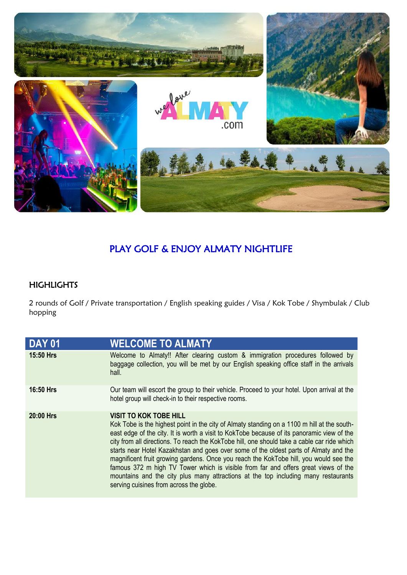

## PLAY GOLF & ENJOY ALMATY NIGHTLIFE

## **HIGHLIGHTS**

2 rounds of Golf / Private transportation / English speaking guides / Visa / Kok Tobe / Shymbulak / Club hopping

| DAY 01    | <b>WELCOME TO ALMATY</b>                                                                                                                                                                                                                                                                                                                                                                                                                                                                                                                                                                                                                                                                                                           |
|-----------|------------------------------------------------------------------------------------------------------------------------------------------------------------------------------------------------------------------------------------------------------------------------------------------------------------------------------------------------------------------------------------------------------------------------------------------------------------------------------------------------------------------------------------------------------------------------------------------------------------------------------------------------------------------------------------------------------------------------------------|
| 15:50 Hrs | Welcome to Almaty!! After clearing custom & immigration procedures followed by<br>baggage collection, you will be met by our English speaking office staff in the arrivals<br>hall.                                                                                                                                                                                                                                                                                                                                                                                                                                                                                                                                                |
| 16:50 Hrs | Our team will escort the group to their vehicle. Proceed to your hotel. Upon arrival at the<br>hotel group will check-in to their respective rooms.                                                                                                                                                                                                                                                                                                                                                                                                                                                                                                                                                                                |
| 20:00 Hrs | <b>VISIT TO KOK TOBE HILL</b><br>Kok Tobe is the highest point in the city of Almaty standing on a 1100 m hill at the south-<br>east edge of the city. It is worth a visit to KokTobe because of its panoramic view of the<br>city from all directions. To reach the KokTobe hill, one should take a cable car ride which<br>starts near Hotel Kazakhstan and goes over some of the oldest parts of Almaty and the<br>magnificent fruit growing gardens. Once you reach the KokTobe hill, you would see the<br>famous 372 m high TV Tower which is visible from far and offers great views of the<br>mountains and the city plus many attractions at the top including many restaurants<br>serving cuisines from across the globe. |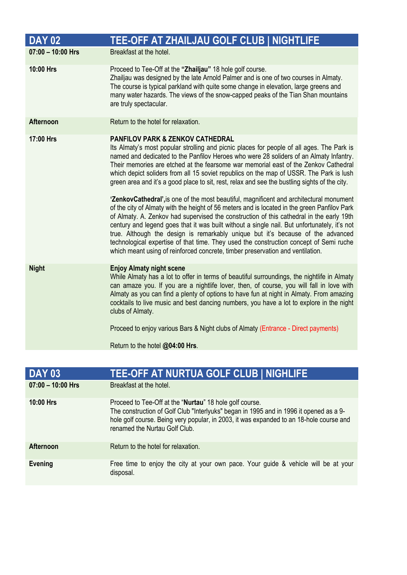| <b>DAY 02</b>       | TEE-OFF AT ZHAILJAU GOLF CLUB   NIGHTLIFE                                                                                                                                                                                                                                                                                                                                                                                                                                                                                                                                                                                                                                                                                                                                                                                                                                                                                                                                                                                                                                                                                                                                   |
|---------------------|-----------------------------------------------------------------------------------------------------------------------------------------------------------------------------------------------------------------------------------------------------------------------------------------------------------------------------------------------------------------------------------------------------------------------------------------------------------------------------------------------------------------------------------------------------------------------------------------------------------------------------------------------------------------------------------------------------------------------------------------------------------------------------------------------------------------------------------------------------------------------------------------------------------------------------------------------------------------------------------------------------------------------------------------------------------------------------------------------------------------------------------------------------------------------------|
| $07:00 - 10:00$ Hrs | Breakfast at the hotel.                                                                                                                                                                                                                                                                                                                                                                                                                                                                                                                                                                                                                                                                                                                                                                                                                                                                                                                                                                                                                                                                                                                                                     |
| 10:00 Hrs           | Proceed to Tee-Off at the "Zhailjau" 18 hole golf course.<br>Zhailjau was designed by the late Arnold Palmer and is one of two courses in Almaty.<br>The course is typical parkland with quite some change in elevation, large greens and<br>many water hazards. The views of the snow-capped peaks of the Tian Shan mountains<br>are truly spectacular.                                                                                                                                                                                                                                                                                                                                                                                                                                                                                                                                                                                                                                                                                                                                                                                                                    |
| <b>Afternoon</b>    | Return to the hotel for relaxation.                                                                                                                                                                                                                                                                                                                                                                                                                                                                                                                                                                                                                                                                                                                                                                                                                                                                                                                                                                                                                                                                                                                                         |
| 17:00 Hrs           | <b>PANFILOV PARK &amp; ZENKOV CATHEDRAL</b><br>Its Almaty's most popular strolling and picnic places for people of all ages. The Park is<br>named and dedicated to the Panfilov Heroes who were 28 soliders of an Almaty Infantry.<br>Their memories are etched at the fearsome war memorial east of the Zenkov Cathedral<br>which depict soliders from all 15 soviet republics on the map of USSR. The Park is lush<br>green area and it's a good place to sit, rest, relax and see the bustling sights of the city.<br>'ZenkovCathedral', is one of the most beautiful, magnificent and architectural monument<br>of the city of Almaty with the height of 56 meters and is located in the green Panfilov Park<br>of Almaty. A. Zenkov had supervised the construction of this cathedral in the early 19th<br>century and legend goes that it was built without a single nail. But unfortunately, it's not<br>true. Although the design is remarkably unique but it's because of the advanced<br>technological expertise of that time. They used the construction concept of Semi ruche<br>which meant using of reinforced concrete, timber preservation and ventilation. |
| <b>Night</b>        | <b>Enjoy Almaty night scene</b><br>While Almaty has a lot to offer in terms of beautiful surroundings, the nightlife in Almaty<br>can amaze you. If you are a nightlife lover, then, of course, you will fall in love with<br>Almaty as you can find a plenty of options to have fun at night in Almaty. From amazing<br>cocktails to live music and best dancing numbers, you have a lot to explore in the night<br>clubs of Almaty.<br>Proceed to enjoy various Bars & Night clubs of Almaty (Entrance - Direct payments)                                                                                                                                                                                                                                                                                                                                                                                                                                                                                                                                                                                                                                                 |
|                     | Return to the hotel @04:00 Hrs.                                                                                                                                                                                                                                                                                                                                                                                                                                                                                                                                                                                                                                                                                                                                                                                                                                                                                                                                                                                                                                                                                                                                             |

| <b>DAY 03</b>       | <b>TEE-OFF AT NURTUA GOLF CLUB   NIGHLIFE</b>                                                                                                                                                                                                                                          |
|---------------------|----------------------------------------------------------------------------------------------------------------------------------------------------------------------------------------------------------------------------------------------------------------------------------------|
| $07:00 - 10:00$ Hrs | Breakfast at the hotel.                                                                                                                                                                                                                                                                |
| <b>10:00 Hrs</b>    | Proceed to Tee-Off at the " <b>Nurtau</b> " 18 hole golf course.<br>The construction of Golf Club "Interlyuks" began in 1995 and in 1996 it opened as a 9-<br>hole golf course. Being very popular, in 2003, it was expanded to an 18-hole course and<br>renamed the Nurtau Golf Club. |
| <b>Afternoon</b>    | Return to the hotel for relaxation.                                                                                                                                                                                                                                                    |
| <b>Evening</b>      | Free time to enjoy the city at your own pace. Your guide & vehicle will be at your<br>disposal.                                                                                                                                                                                        |